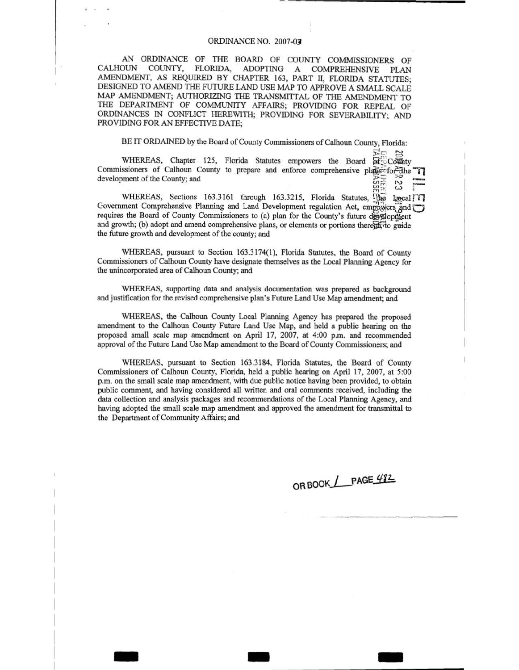# ORDINANCE NO. 2007-07

AN ORDINANCE OF THE BOARD OF COUNTY COMMISSIONERS OF CALHOUN COUNTY, FLORIDA, ADOPTING A COMPREHENSIVE PLAN AMENDMENT, AS REQUIRED BY CHAPTER 163, PART II, FLORIDA STATUTES; DESIGNED TO AMEND THE FUTURE LAND USE MAP TO APPROVE A SMALL SCALE MAP AMENDMENT; AUTHORIZING THE TRANSMITTAL OF THE AMENDMENT TO THE DEPARTMENT OF COMMUNITY AFFAIRS; PROVIDING FOR REPEAL OF ORDINANCES IN CONFLICT HEREWITH; PROVIDING FOR SEVERABILITY; AND PROVIDING FOR AN EFFECTIVE DATE;

BE IT ORDAINED by the Board of County Commissioners of Calhoun County, Florida:

 $E_0$  ,  $E_4$ WHEREAS, Chapter 125, Florida Statutes empowers the Board  $\widehat{B_1^* \cup C \circ \overline{u}h}$ ty Commissioners of Calhoun County to prepare and enforce comprehensive plass for the  $\gamma$ development of the County; and  $\overline{z}$   $\overline{z}$   $\overline{z}$   $\overline{z}$   $\overline{z}$   $\overline{z}$   $\overline{z}$   $\overline{z}$   $\overline{z}$   $\overline{z}$   $\overline{z}$   $\overline{z}$   $\overline{z}$   $\overline{z}$   $\overline{z}$   $\overline{z}$   $\overline{z}$   $\overline{z}$   $\overline{z}$   $\overline{z}$   $\overline{z}$ 

WHEREAS, Sections 163.3161 through 163.3215, Florida Statutes,  $\frac{\text{MSE}}{\text{Area}}$  and  $\frac{\text{MSE}}{\text{Area}}$ Government Comprehensive Planning and Land Development regulation Act, empowers and <sup>p</sup> requires the Board of County Commissioners to (a) plan for the County's future development and growth; (b) adopt and amend comprehensive plans, or elements or portions thereofferto guide the future growth and development of the county; and

WHEREAS, pursuant to Section 163.3174(1), Florida Statutes, the Board of County Commissioners of Calhoun County have designate themselves as the Local Planning Agency for the unincorporated area of Calhoun County; and

WHEREAS, supporting data and analysis documentation was prepared as background and justification for the revised comprehensive plan's Future Land Use Map amendment; and

WHEREAS, the Calhoun County Local Planning Agency has prepared the proposed amendment to the Calhoun County Future Land Use Map, and held a public bearing on the proposed small scale map amendment on April 17, 2007, at 4:00 p.m. and recommended approval of the Future Land Use Map amendment to the Board of County Commissioners; and

WHEREAS, pursuant to Section 163.3 184, Florida Statutes, the Board of County Commissioners of Calhoun County, Florida, held a public hearing on April 17, 2007, at 5:00 p.m. on the small scale map amendment, 'with due public notice having been provided, to obtain public comment, and having considered all written and oral comments received, including the data collection and analysis packages and recommendations of the Local Planning Agency, and having adopted the small scale map amendment and approved the amendment for transmittal to the Department of Community Affairs; and

 $-$  -  $-$  -  $-$ 

OR BOOK PAGE 482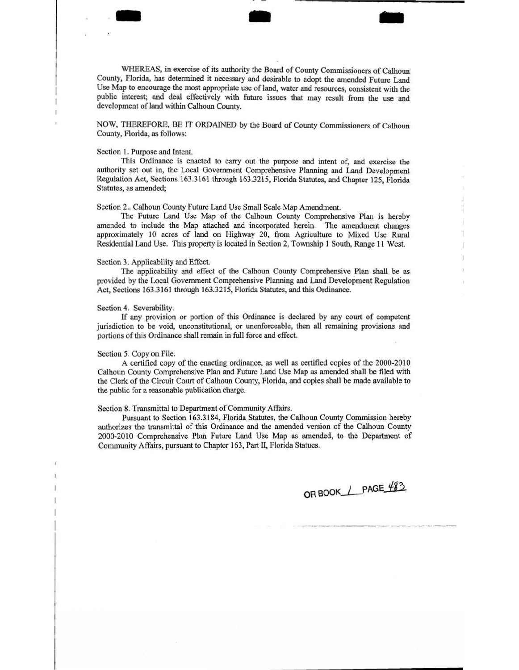WHEREAS, in exercise of its authority the Board of County Commissioners of Calhoun County, Florida, has determined it necessary and desirable to adopt the amended Future Land Use Map to encourage the most appropriate use of land, water and resources, consistent with the public interest; and deal effectively with future issues that may result from the use and development of land within Calhoun County.

- .. -

NOW, THEREFORE, BE IT ORDAINED by the Board of County Commissioners of Calhoun County, Florida, as follows:

# Section 1. Purpose and Intent.

This Ordinance is enacted to carry out the purpose and intent of, and exercise the authority set out in, the Local Government Comprehensive Planning and Land Development Regulation Act, Sections 163.3161 through 163.3215, Florida Statutes, and Chapter 125, Florida Statutes, as amended;

Section 2.. Calhoun County Future Land Use Small Scale Map Amendment.

The Future Land Use Map of the Calhoun County Comprehensive Plan is hereby amended to include the Map attached and incorporated herein. The amendment changes approximately 10 acres of land on Highway 20, from Agriculture to Mixed Use Rural Residential Land Use. This property is located in Section 2, Township I South, Range 11 West.

## Section 3. Applicability and Effect.

The applicability and effect of the Calhoun County Comprehensive Plan shall be as provided by the Local Government Comprehensive Planning and Land Development Regulation Act, Sections 163.3161 through 163.3215, Florida Statutes, and this Ordinance.

#### Section 4. Severability.

If any provision or portion of this Ordinance is declared by any court of competent jurisdiction to be void, unconstitutional, or unenforceable, then all remaining provisions and portions of this Ordinance shall remain in full force and effect.

### Section 5. Copy on File.

A certified copy of the enacting ordinance, as well as certified copies of the 2000-2010 Calhoun County Comprehensive Plan and Future Land Use Map as amended shall be filed with the Clerk of the Circuit Court of Calhoun County, Florida, and copies shall be made available to the public for a reasonable publication charge.

# Section 8. Transmittal to Department of Community Affairs.

Pursuant to Section 163.3184, Florida Statutes, the Calhoun County Commission hereby authorizes the transmittal of this Ordinance and the amended version of the Calhoun County 2000-2010 Comprehensive Plan Future Land Use Map as amended, to the Department of Community Affairs, pursuant to Chapter 163, Part II, Florida Statues.

OR BOOK / PAGE 483